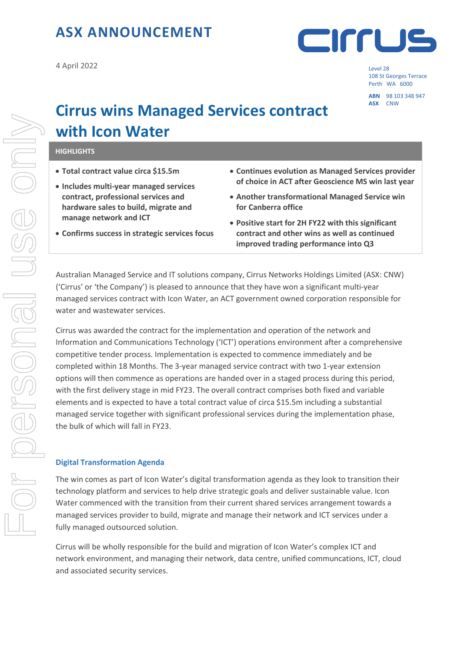## **ASX ANNOUNCEMENT**

4 April 2022 Level 28



108 St Georges Terrace Perth WA 6000

**ABN** 98 103 348 947

# **Cirrus wins Managed Services contract with Icon Water**

#### **HIGHLIGHTS**

- **Total contract value circa \$15.5m**
- **Includes multi-year managed services contract, professional services and hardware sales to build, migrate and manage network and ICT**
- **Confirms success in strategic services focus**
- **Continues evolution as Managed Services provider of choice in ACT after Geoscience MS win last year**
- **Another transformational Managed Service win for Canberra office**
- **Positive start for 2H FY22 with this significant contract and other wins as well as continued improved trading performance into Q3**

Australian Managed Service and IT solutions company, Cirrus Networks Holdings Limited (ASX: CNW) ('Cirrus' or 'the Company') is pleased to announce that they have won a significant multi-year managed services contract with Icon Water, an ACT government owned corporation responsible for water and wastewater services.

Cirrus was awarded the contract for the implementation and operation of the network and Information and Communications Technology ('ICT') operations environment after a comprehensive competitive tender process. Implementation is expected to commence immediately and be completed within 18 Months. The 3-year managed service contract with two 1-year extension options will then commence as operations are handed over in a staged process during this period, with the first delivery stage in mid FY23. The overall contract comprises both fixed and variable elements and is expected to have a total contract value of circa \$15.5m including a substantial managed service together with significant professional services during the implementation phase, the bulk of which will fall in FY23.

#### **Digital Transformation Agenda**

The win comes as part of Icon Water's digital transformation agenda as they look to transition their technology platform and services to help drive strategic goals and deliver sustainable value. Icon Water commenced with the transition from their current shared services arrangement towards a managed services provider to build, migrate and manage their network and ICT services under a fully managed outsourced solution.

Cirrus will be wholly responsible for the build and migration of Icon Water's complex ICT and network environment, and managing their network, data centre, unified communcations, ICT, cloud and associated security services.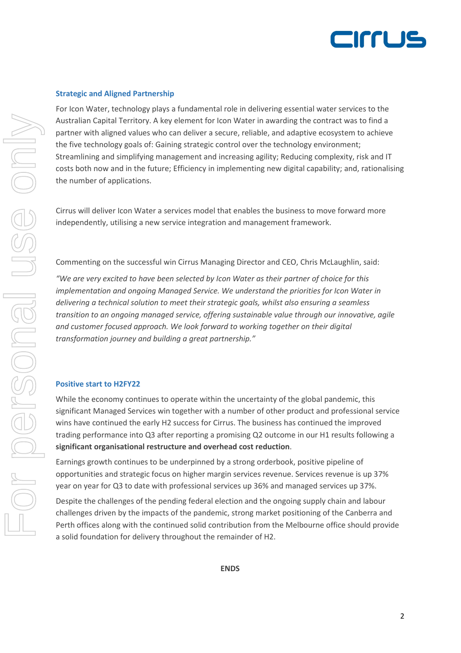

#### **Strategic and Aligned Partnership**

For Icon Water, technology plays a fundamental role in delivering essential water services to the Australian Capital Territory. A key element for Icon Water in awarding the contract was to find a partner with aligned values who can deliver a secure, reliable, and adaptive ecosystem to achieve the five technology goals of: Gaining strategic control over the technology environment; Streamlining and simplifying management and increasing agility; Reducing complexity, risk and IT costs both now and in the future; Efficiency in implementing new digital capability; and, rationalising the number of applications.

Cirrus will deliver Icon Water a services model that enables the business to move forward more independently, utilising a new service integration and management framework.

Commenting on the successful win Cirrus Managing Director and CEO, Chris McLaughlin, said:

*"We are very excited to have been selected by Icon Water as their partner of choice for this implementation and ongoing Managed Service. We understand the priorities for Icon Water in delivering a technical solution to meet their strategic goals, whilst also ensuring a seamless transition to an ongoing managed service, offering sustainable value through our innovative, agile and customer focused approach. We look forward to working together on their digital transformation journey and building a great partnership."*

#### **Positive start to H2FY22**

While the economy continues to operate within the uncertainty of the global pandemic, this significant Managed Services win together with a number of other product and professional service wins have continued the early H2 success for Cirrus. The business has continued the improved trading performance into Q3 after reporting a promising Q2 outcome in our H1 results following a **significant organisational restructure and overhead cost reduction**.

Earnings growth continues to be underpinned by a strong orderbook, positive pipeline of opportunities and strategic focus on higher margin services revenue. Services revenue is up 37% year on year for Q3 to date with professional services up 36% and managed services up 37%.

Despite the challenges of the pending federal election and the ongoing supply chain and labour challenges driven by the impacts of the pandemic, strong market positioning of the Canberra and Perth offices along with the continued solid contribution from the Melbourne office should provide a solid foundation for delivery throughout the remainder of H2.